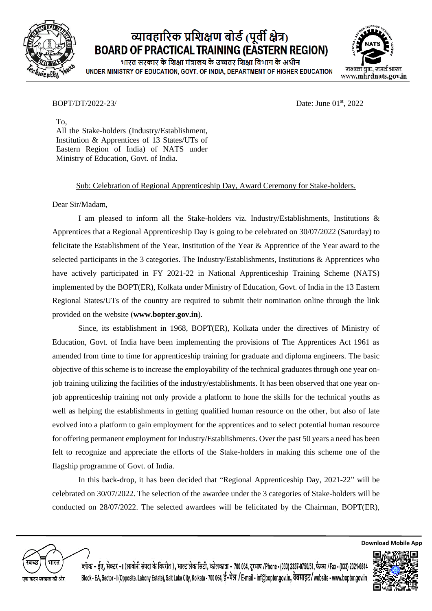

## व्यावहारिक प्रशिक्षण बोर्ड (पूर्वी क्षेत्र) **BOARD OF PRACTICAL TRAINING (EASTERN REGION)**

भारत सरकार के शिक्षा मंत्रालय के उच्चतर शिक्षा विभाग के अधीन UNDER MINISTRY OF EDUCATION, GOVT. OF INDIA, DEPARTMENT OF HIGHER EDUCATION



## BOPT/DT/2022-23/

Date: June 01st, 2022

To, All the Stake-holders (Industry/Establishment, Institution & Apprentices of 13 States/UTs of Eastern Region of India) of NATS under Ministry of Education, Govt. of India.

## Sub: Celebration of Regional Apprenticeship Day, Award Ceremony for Stake-holders.

Dear Sir/Madam,

I am pleased to inform all the Stake-holders viz. Industry/Establishments, Institutions & Apprentices that a Regional Apprenticeship Day is going to be celebrated on 30/07/2022 (Saturday) to felicitate the Establishment of the Year, Institution of the Year & Apprentice of the Year award to the selected participants in the 3 categories. The Industry/Establishments, Institutions & Apprentices who have actively participated in FY 2021-22 in National Apprenticeship Training Scheme (NATS) implemented by the BOPT(ER), Kolkata under Ministry of Education, Govt. of India in the 13 Eastern Regional States/UTs of the country are required to submit their nomination online through the link provided on the website (**www.bopter.gov.in**).

Since, its establishment in 1968, BOPT(ER), Kolkata under the directives of Ministry of Education, Govt. of India have been implementing the provisions of The Apprentices Act 1961 as amended from time to time for apprenticeship training for graduate and diploma engineers. The basic objective of this scheme is to increase the employability of the technical graduates through one year onjob training utilizing the facilities of the industry/establishments. It has been observed that one year onjob apprenticeship training not only provide a platform to hone the skills for the technical youths as well as helping the establishments in getting qualified human resource on the other, but also of late evolved into a platform to gain employment for the apprentices and to select potential human resource for offering permanent employment for Industry/Establishments. Over the past 50 years a need has been felt to recognize and appreciate the efforts of the Stake-holders in making this scheme one of the flagship programme of Govt. of India.

In this back-drop, it has been decided that "Regional Apprenticeship Day, 2021-22" will be celebrated on 30/07/2022. The selection of the awardee under the 3 categories of Stake-holders will be conducted on 28/07/2022. The selected awardees will be felicitated by the Chairman, BOPT(ER),



ब्लॅाक – ईए, सेक्टर –1 (लावोनी संपदा के विपरीत ), साल्ट लेक सिटी, कोलकाता – 700 064, दुरभाष /Phone - (033) 2337-0750/51, फैक्स /Fax - (033) 2321-6814 Block - EA, Sector - I (Opposite. Labony Estate), Salt Lake City, Kolkata - 700 064, ई-मेल / E-mail - inf@bopter.gov.in, वेबसाइट/website - www.bopter.gov.in



**Download Mobile App**